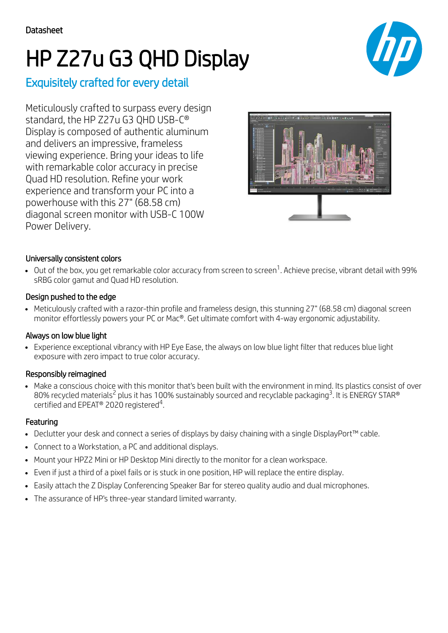# HP Z27u G3 QHD Display

# Exquisitely crafted for every detail

Meticulously crafted to surpass every design standard, the HP Z27u G3 QHD USB-C® Display is composed of authentic aluminum and delivers an impressive, frameless viewing experience. Bring your ideas to life with remarkable color accuracy in precise Quad HD resolution. Refine your work experience and transform your PC into a powerhouse with this 27" (68.58 cm) diagonal screen monitor with USB-C 100W Power Delivery.



### Universally consistent colors

Out of the box, you get remarkable color accuracy from screen to screen<sup>1</sup>. Achieve precise, vibrant detail with 99% sRBG color gamut and Quad HD resolution.

#### Design pushed to the edge

Meticulously crafted with a razor-thin profile and frameless design, this stunning 27" (68.58 cm) diagonal screen monitor effortlessly powers your PC or Mac®. Get ultimate comfort with 4-way ergonomic adjustability.

#### Always on low blue light

Experience exceptional vibrancy with HP Eye Ease, the always on low blue light filter that reduces blue light exposure with zero impact to true color accuracy.

#### Responsibly reimagined

Make a conscious choice with this monitor that's been built with the environment in mind. Its plastics consist of over 80% recycled materials<sup>2</sup> plus it has 100% sustainably sourced and recyclable packaging<sup>3</sup>. It is ENERGY STAR® certified and EPEAT<sup>®</sup> 2020 registered<sup>4</sup>.

#### Featuring

- Declutter your desk and connect a series of displays by daisy chaining with a single DisplayPort™ cable.
- Connect to a Workstation, a PC and additional displays.
- Mount your HPZ2 Mini or HP Desktop Mini directly to the monitor for a clean workspace.
- Even if just a third of a pixel fails or is stuck in one position, HP will replace the entire display.
- Easily attach the Z Display Conferencing Speaker Bar for stereo quality audio and dual microphones.
- The assurance of HP's three-year standard limited warranty.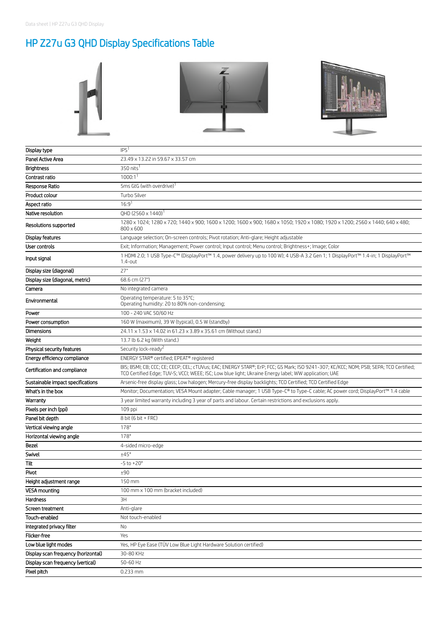# HP Z27u G3 QHD Display Specifications Table







| Display type                        | IPS <sup>1</sup>                                                                                                                                                                                                                               |
|-------------------------------------|------------------------------------------------------------------------------------------------------------------------------------------------------------------------------------------------------------------------------------------------|
| Panel Active Area                   | 23.49 x 13.22 in 59.67 x 33.57 cm                                                                                                                                                                                                              |
| <b>Brightness</b>                   | 350 nits                                                                                                                                                                                                                                       |
| Contrast ratio                      | 1000:1 <sup>1</sup>                                                                                                                                                                                                                            |
| Response Ratio                      | 5ms GtG (with overdrive)                                                                                                                                                                                                                       |
| Product colour                      | Turbo Silver                                                                                                                                                                                                                                   |
| Aspect ratio                        | 16:9 <sup>1</sup>                                                                                                                                                                                                                              |
| Native resolution                   | QHD (2560 x 1440) <sup>1</sup>                                                                                                                                                                                                                 |
| Resolutions supported               | 1280 x 1024; 1280 x 720; 1440 x 900; 1600 x 1200; 1600 x 900; 1680 x 1050; 1920 x 1080; 1920 x 1200; 2560 x 1440; 640 x 480;<br>800 × 600                                                                                                      |
| Display features                    | Language selection; On-screen controls; Pivot rotation; Anti-glare; Height adjustable                                                                                                                                                          |
| User controls                       | Exit; Information; Management; Power control; Input control; Menu control; Brightness+; Image; Color                                                                                                                                           |
| Input signal                        | 1 HDMI 2.0; 1 USB Type-C™ (DisplayPort™ 1.4, power delivery up to 100 W); 4 USB-A 3.2 Gen 1; 1 DisplayPort™ 1.4-in; 1 DisplayPort™<br>$1.4$ -out                                                                                               |
| Display size (diagonal)             | 27"                                                                                                                                                                                                                                            |
| Display size (diagonal, metric)     | 68.6 cm (27")                                                                                                                                                                                                                                  |
| Camera                              | No integrated camera                                                                                                                                                                                                                           |
| Environmental                       | Operating temperature: 5 to 35°C;<br>Operating humidity: 20 to 80% non-condensing;                                                                                                                                                             |
| Power                               | 100 - 240 VAC 50/60 Hz                                                                                                                                                                                                                         |
| Power consumption                   | 160 W (maximum), 39 W (typical), 0.5 W (standby)                                                                                                                                                                                               |
| Dimensions                          | 24.11 x 1.53 x 14.02 in 61.23 x 3.89 x 35.61 cm (Without stand.)                                                                                                                                                                               |
| Weight                              | 13.7 lb 6.2 kg (With stand.)                                                                                                                                                                                                                   |
| Physical security features          | Security lock-ready <sup>2</sup>                                                                                                                                                                                                               |
| Energy efficiency compliance        | ENERGY STAR® certified; EPEAT® registered                                                                                                                                                                                                      |
| Certification and compliance        | BIS; BSMI; CB; CCC; CE; CECP; CEL; cTUVus; EAC; ENERGY STAR®; ErP; FCC; GS Mark; ISO 9241-307; KC/KCC; NOM; PSB; SEPA; TCO Certified;<br>TCO Certified Edge; TUV-S; VCCI; WEEE; ISC; Low blue light; Ukraine Energy label; WW application; UAE |
| Sustainable impact specifications   | Arsenic-free display glass; Low halogen; Mercury-free display backlights; TCO Certified; TCO Certified Edge                                                                                                                                    |
| What's in the box                   | Monitor; Documentation; VESA Mount adapter; Cable manager; 1 USB Type-C® to Type-C cable; AC power cord; DisplayPort™ 1.4 cable                                                                                                                |
| Warranty                            | 3 year limited warranty including 3 year of parts and labour. Certain restrictions and exclusions apply.                                                                                                                                       |
| Pixels per inch (ppi)               | 109 ppi                                                                                                                                                                                                                                        |
| Panel bit depth                     | 8 bit (6 bit + FRC)                                                                                                                                                                                                                            |
| Vertical viewing angle              | 178°                                                                                                                                                                                                                                           |
| Horizontal viewing angle            | 178°                                                                                                                                                                                                                                           |
| Bezel                               | 4-sided micro-edge                                                                                                                                                                                                                             |
| Swivel                              | ±45°                                                                                                                                                                                                                                           |
| Tilt                                | $-5$ to $+20^{\circ}$                                                                                                                                                                                                                          |
| Pivot                               | ±90                                                                                                                                                                                                                                            |
| Height adjustment range             | 150 mm                                                                                                                                                                                                                                         |
| <b>VESA mounting</b>                | 100 mm x 100 mm (bracket included)                                                                                                                                                                                                             |
| Hardness                            | 3H                                                                                                                                                                                                                                             |
| Screen treatment                    | Anti-glare                                                                                                                                                                                                                                     |
| Touch-enabled                       | Not touch-enabled                                                                                                                                                                                                                              |
| Integrated privacy filter           | No                                                                                                                                                                                                                                             |
| Flicker-free                        | Yes                                                                                                                                                                                                                                            |
| Low blue light modes                | Yes, HP Eye Ease (TÜV Low Blue Light Hardware Solution certified)                                                                                                                                                                              |
| Display scan frequency (horizontal) | 30-80 KHz                                                                                                                                                                                                                                      |
| Display scan frequency (vertical)   | 50-60 Hz                                                                                                                                                                                                                                       |
| Pixel pitch                         | 0.233 mm                                                                                                                                                                                                                                       |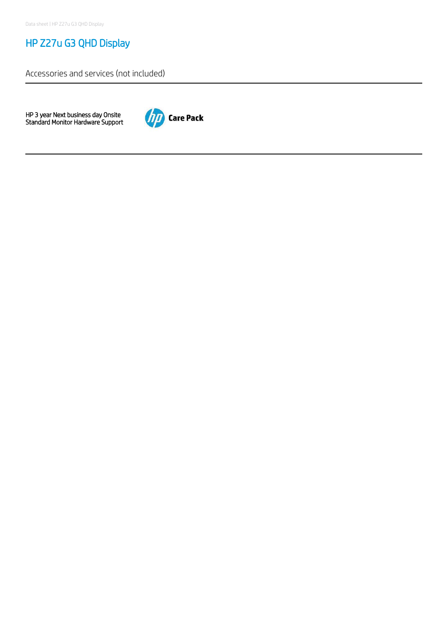# HP Z27u G3 QHD Display

Accessories and services (not included)

HP 3 year Next business day Onsite Standard Monitor Hardware Support